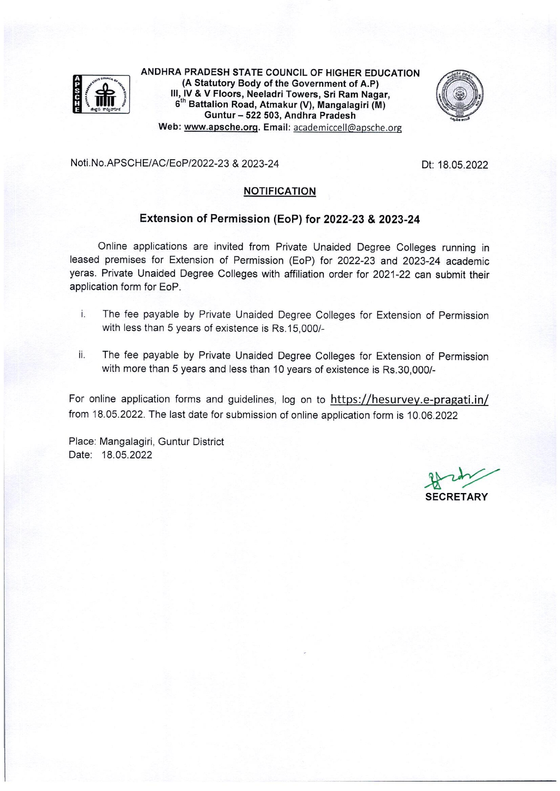

ANDHRA PRADESH STATE COUNCIL OF HIGHER EDUCATION (A Statutory Body of the Government of A.P) III, IV & V Floors, Neeladri Towers, Sri Ram Nagar, 6<sup>th</sup> Battalion Road, Atmakur (V), Mangalagiri (M) Guntur - 522 503, Andhra Pradesh Web: www.apsche.org. Email: academiccell@apsche.org



Noti.No.APSCHE/AC/EoP/2022-23 & 2023-24

Dt: 18.05.2022

## **NOTIFICATION**

#### Extension of Permission (EoP) for 2022-23 & 2023-24

Online applications are invited from Private Unaided Degree Colleges running in leased premises for Extension of Permission (EoP) for 2022-23 and 2023-24 academic yeras. Private Unaided Degree Colleges with affiliation order for 2021-22 can submit their application form for EoP.

- i. The fee payable by Private Unaided Degree Colleges for Extension of Permission with less than 5 years of existence is Rs.15,000/-
- ii. The fee payable by Private Unaided Degree Colleges for Extension of Permission with more than 5 years and less than 10 years of existence is Rs.30,000/-

For online application forms and guidelines, log on to https://hesurvey.e-pragati.in/ from 18.05.2022. The last date for submission of online application form is 10.06.2022

Place: Mangalagiri, Guntur District Date: 18.05.2022

**SECRETARY**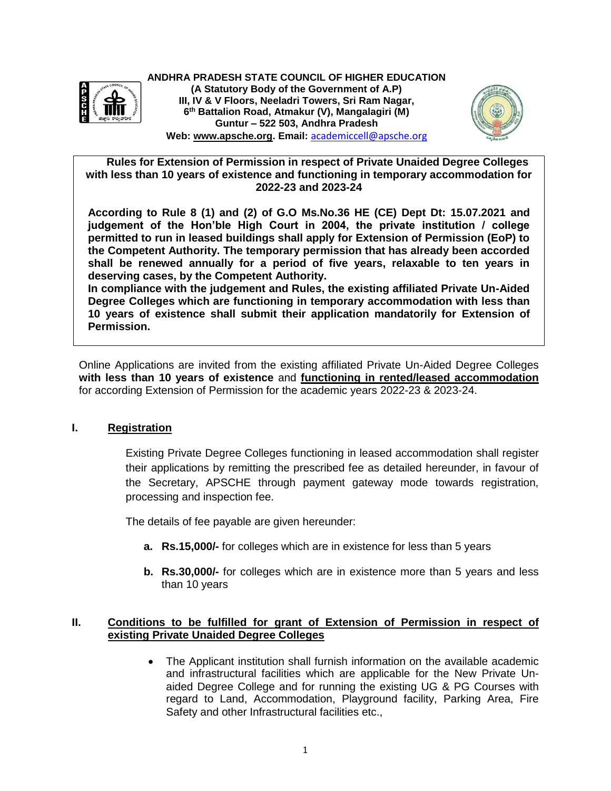

**ANDHRA PRADESH STATE COUNCIL OF HIGHER EDUCATION (A Statutory Body of the Government of A.P) III, IV & V Floors, Neeladri Towers, Sri Ram Nagar, 6 th Battalion Road, Atmakur (V), Mangalagiri (M) Guntur – 522 503, Andhra Pradesh Web: [www.apsche.org.](http://www.apsche.org/) Email:** [academiccell@apsche.org](mailto:academiccell@apsche.org)



 **Rules for Extension of Permission in respect of Private Unaided Degree Colleges with less than 10 years of existence and functioning in temporary accommodation for 2022-23 and 2023-24**

**According to Rule 8 (1) and (2) of G.O Ms.No.36 HE (CE) Dept Dt: 15.07.2021 and judgement of the Hon'ble High Court in 2004, the private institution / college permitted to run in leased buildings shall apply for Extension of Permission (EoP) to the Competent Authority. The temporary permission that has already been accorded shall be renewed annually for a period of five years, relaxable to ten years in deserving cases, by the Competent Authority.**

**In compliance with the judgement and Rules, the existing affiliated Private Un-Aided Degree Colleges which are functioning in temporary accommodation with less than 10 years of existence shall submit their application mandatorily for Extension of Permission.**

Online Applications are invited from the existing affiliated Private Un-Aided Degree Colleges **with less than 10 years of existence** and **functioning in rented/leased accommodation** for according Extension of Permission for the academic years 2022-23 & 2023-24.

## **I. Registration**

Existing Private Degree Colleges functioning in leased accommodation shall register their applications by remitting the prescribed fee as detailed hereunder, in favour of the Secretary, APSCHE through payment gateway mode towards registration, processing and inspection fee.

The details of fee payable are given hereunder:

- **a. Rs.15,000/-** for colleges which are in existence for less than 5 years
- **b. Rs.30,000/-** for colleges which are in existence more than 5 years and less than 10 years

## **II. Conditions to be fulfilled for grant of Extension of Permission in respect of existing Private Unaided Degree Colleges**

 The Applicant institution shall furnish information on the available academic and infrastructural facilities which are applicable for the New Private Unaided Degree College and for running the existing UG & PG Courses with regard to Land, Accommodation, Playground facility, Parking Area, Fire Safety and other Infrastructural facilities etc.,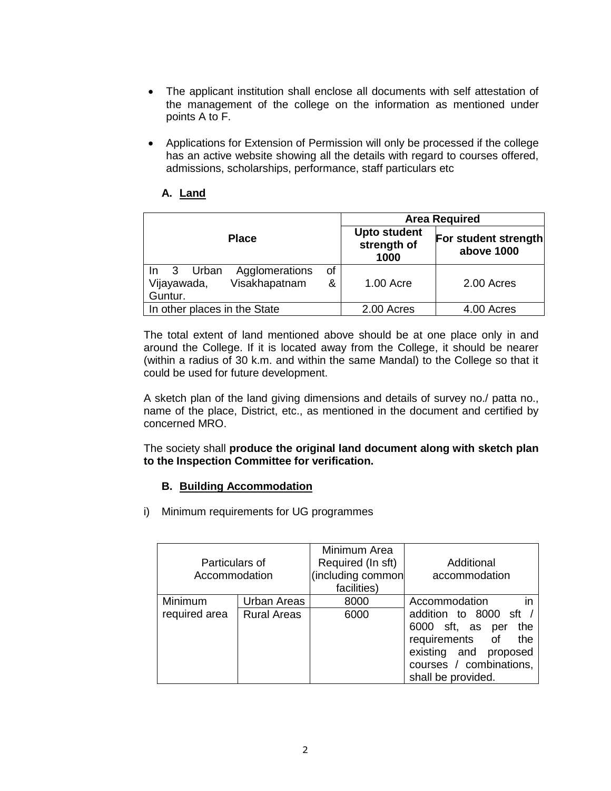- The applicant institution shall enclose all documents with self attestation of the management of the college on the information as mentioned under points A to F.
- Applications for Extension of Permission will only be processed if the college has an active website showing all the details with regard to courses offered, admissions, scholarships, performance, staff particulars etc

# **A. Land**

|                                                                    | <b>Area Required</b>                       |                                    |            |  |  |
|--------------------------------------------------------------------|--------------------------------------------|------------------------------------|------------|--|--|
| <b>Place</b>                                                       | <b>Upto student</b><br>strength of<br>1000 | For student strength<br>above 1000 |            |  |  |
| 3<br>Urban<br>Agglomerations<br>In<br>Visakhapatnam<br>Vijayawada, | οf<br>&                                    | 1.00 Acre                          | 2.00 Acres |  |  |
| Guntur.                                                            |                                            |                                    |            |  |  |
| In other places in the State                                       |                                            | 2.00 Acres                         | 4.00 Acres |  |  |

The total extent of land mentioned above should be at one place only in and around the College. If it is located away from the College, it should be nearer (within a radius of 30 k.m. and within the same Mandal) to the College so that it could be used for future development.

A sketch plan of the land giving dimensions and details of survey no./ patta no., name of the place, District, etc., as mentioned in the document and certified by concerned MRO.

The society shall **produce the original land document along with sketch plan to the Inspection Committee for verification.** 

## **B. Building Accommodation**

i) Minimum requirements for UG programmes

|                          | Particulars of<br>Accommodation   |              | Additional<br>(including common<br>accommodation                                                                                                                                |
|--------------------------|-----------------------------------|--------------|---------------------------------------------------------------------------------------------------------------------------------------------------------------------------------|
| Minimum<br>required area | Urban Areas<br><b>Rural Areas</b> | 8000<br>6000 | in<br>Accommodation<br>addition to 8000 sft /<br>6000 sft, as<br>the<br>per<br>requirements of<br>the<br>existing and proposed<br>courses / combinations,<br>shall be provided. |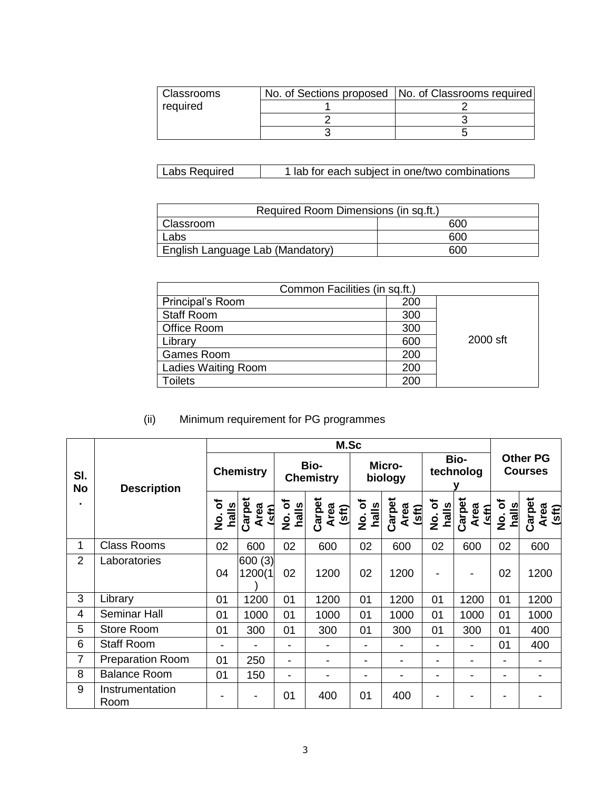| Classrooms | No. of Sections proposed   No. of Classrooms required |
|------------|-------------------------------------------------------|
| required   |                                                       |
|            |                                                       |
|            |                                                       |

| Labs Required | 1 lab for each subject in one/two combinations |
|---------------|------------------------------------------------|
|---------------|------------------------------------------------|

| Required Room Dimensions (in sq.ft.) |     |  |  |  |  |
|--------------------------------------|-----|--|--|--|--|
| Classroom                            | 600 |  |  |  |  |
| Labs                                 | 600 |  |  |  |  |
| English Language Lab (Mandatory)     | റെറ |  |  |  |  |

| Common Facilities (in sq.ft.) |     |          |  |  |  |  |
|-------------------------------|-----|----------|--|--|--|--|
| Principal's Room              | 200 |          |  |  |  |  |
| <b>Staff Room</b>             | 300 |          |  |  |  |  |
| Office Room                   | 300 |          |  |  |  |  |
| Library                       | 600 | 2000 sft |  |  |  |  |
| <b>Games Room</b>             | 200 |          |  |  |  |  |
| <b>Ladies Waiting Room</b>    | 200 |          |  |  |  |  |
| <b>Toilets</b>                | 200 |          |  |  |  |  |

# (ii) Minimum requirement for PG programmes

|                  |                         | M.Sc                           |                                |                           |                         |                                  |                         |                   |                                 |                                   |                         |
|------------------|-------------------------|--------------------------------|--------------------------------|---------------------------|-------------------------|----------------------------------|-------------------------|-------------------|---------------------------------|-----------------------------------|-------------------------|
| SI.<br><b>No</b> | <b>Description</b>      | <b>Chemistry</b>               |                                | Bio-<br><b>Chemistry</b>  |                         | Micro-<br>biology                |                         | Bio-<br>technolog |                                 | <b>Other PG</b><br><b>Courses</b> |                         |
|                  |                         | ৳<br>$h$ alls<br>$\frac{1}{2}$ | Carpet<br>Area<br>$\mathsf{F}$ | No. of<br>halls<br>。<br>2 | Carpet<br>Area<br>(sft) | ৳<br>halis<br>$\dot{\mathbf{z}}$ | Carpet<br>Area<br>(sft) | No.of<br>halls    | Carpet<br>Area<br><i>I</i> sff) | No.of<br>halls                    | Carpet<br>Area<br>(sft) |
| 1                | <b>Class Rooms</b>      | 02                             | 600                            | 02                        | 600                     | 02                               | 600                     | 02                | 600                             | 02                                | 600                     |
| $\overline{2}$   | Laboratories            | 04                             | 600 (3)<br>1200(1              | 02                        | 1200                    | 02                               | 1200                    |                   |                                 | 02                                | 1200                    |
| 3                | Library                 | 01                             | 1200                           | 01                        | 1200                    | 01                               | 1200                    | 01                | 1200                            | 01                                | 1200                    |
| 4                | <b>Seminar Hall</b>     | 01                             | 1000                           | 01                        | 1000                    | 01                               | 1000                    | 01                | 1000                            | 01                                | 1000                    |
| 5                | Store Room              | 01                             | 300                            | 01                        | 300                     | 01                               | 300                     | 01                | 300                             | 01                                | 400                     |
| 6                | <b>Staff Room</b>       | -                              |                                |                           |                         | ۰                                |                         |                   |                                 | 01                                | 400                     |
| 7                | <b>Preparation Room</b> | 01                             | 250                            | ۰                         | -                       | $\overline{\phantom{0}}$         |                         |                   |                                 | -                                 |                         |
| 8                | <b>Balance Room</b>     | 01                             | 150                            | $\blacksquare$            |                         | ۰                                |                         |                   |                                 | $\blacksquare$                    |                         |
| 9                | Instrumentation<br>Room |                                |                                | 01                        | 400                     | 01                               | 400                     |                   |                                 |                                   |                         |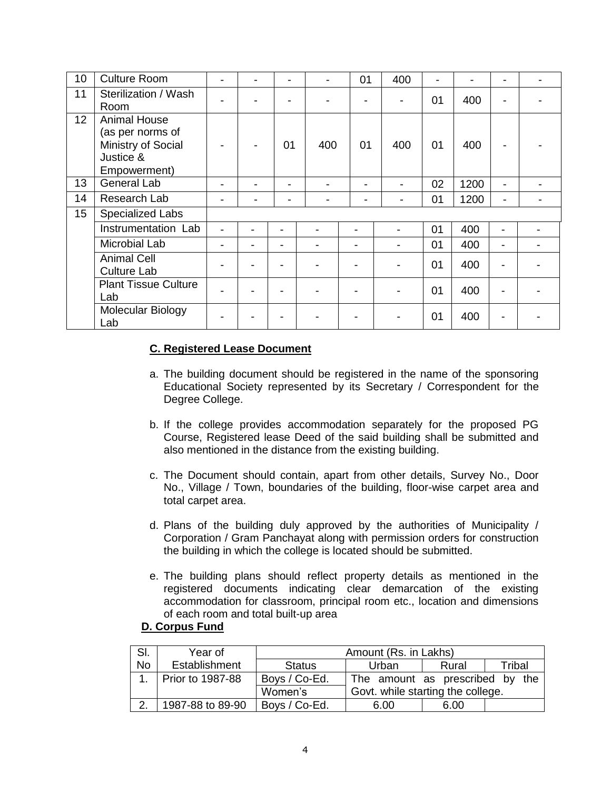| 10              | <b>Culture Room</b>                                                                        |  |    |     | 01             | 400            |    | -    |                |  |
|-----------------|--------------------------------------------------------------------------------------------|--|----|-----|----------------|----------------|----|------|----------------|--|
| 11              | Sterilization / Wash<br>Room                                                               |  |    |     |                |                | 01 | 400  |                |  |
| 12 <sup>2</sup> | <b>Animal House</b><br>(as per norms of<br>Ministry of Social<br>Justice &<br>Empowerment) |  | 01 | 400 | 01             | 400            | 01 | 400  | $\blacksquare$ |  |
| 13              | General Lab                                                                                |  |    |     | $\blacksquare$ |                | 02 | 1200 | $\blacksquare$ |  |
| 14              | Research Lab                                                                               |  |    |     | $\blacksquare$ |                | 01 | 1200 | $\blacksquare$ |  |
| 15              | <b>Specialized Labs</b>                                                                    |  |    |     |                |                |    |      |                |  |
|                 | Instrumentation Lab                                                                        |  |    |     |                | $\blacksquare$ | 01 | 400  | ۰.             |  |
|                 | Microbial Lab                                                                              |  |    |     |                | $\blacksquare$ | 01 | 400  | ۰              |  |
|                 | <b>Animal Cell</b><br><b>Culture Lab</b>                                                   |  |    |     |                | $\blacksquare$ | 01 | 400  |                |  |
|                 | <b>Plant Tissue Culture</b><br>Lab                                                         |  |    |     |                |                | 01 | 400  |                |  |
|                 | Molecular Biology<br>Lab                                                                   |  |    |     |                |                | 01 | 400  |                |  |

## **C. Registered Lease Document**

- a. The building document should be registered in the name of the sponsoring Educational Society represented by its Secretary / Correspondent for the Degree College.
- b. If the college provides accommodation separately for the proposed PG Course, Registered lease Deed of the said building shall be submitted and also mentioned in the distance from the existing building.
- c. The Document should contain, apart from other details, Survey No., Door No., Village / Town, boundaries of the building, floor-wise carpet area and total carpet area.
- d. Plans of the building duly approved by the authorities of Municipality / Corporation / Gram Panchayat along with permission orders for construction the building in which the college is located should be submitted.
- e. The building plans should reflect property details as mentioned in the registered documents indicating clear demarcation of the existing accommodation for classroom, principal room etc., location and dimensions of each room and total built-up area

#### **D. Corpus Fund**

| SI.       | Year of          | Amount (Rs. in Lakhs)                        |                                 |       |        |  |  |  |  |  |
|-----------|------------------|----------------------------------------------|---------------------------------|-------|--------|--|--|--|--|--|
| <b>No</b> | Establishment    | <b>Status</b>                                | Urban                           | Rural | Tribal |  |  |  |  |  |
|           | Prior to 1987-88 | Boys / Co-Ed.                                | The amount as prescribed by the |       |        |  |  |  |  |  |
|           |                  | Govt. while starting the college.<br>Women's |                                 |       |        |  |  |  |  |  |
| ົ         | 1987-88 to 89-90 | Boys / Co-Ed.                                | 6.00                            | 6.00  |        |  |  |  |  |  |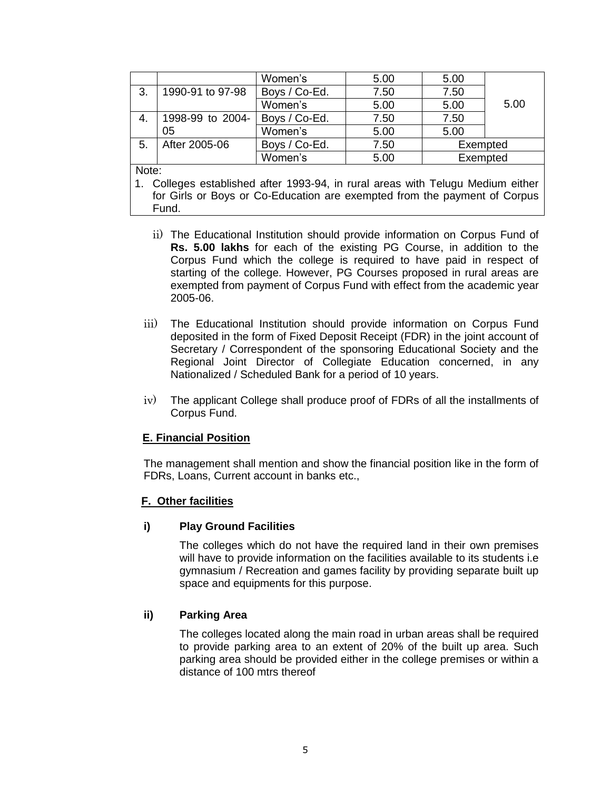|       |                  | Women's       | 5.00 | 5.00     |  |
|-------|------------------|---------------|------|----------|--|
| 3.    | 1990-91 to 97-98 | Boys / Co-Ed. | 7.50 | 7.50     |  |
|       |                  | Women's       | 5.00 | 5.00     |  |
|       | 1998-99 to 2004- | Boys / Co-Ed. | 7.50 | 7.50     |  |
|       | 05               | Women's       | 5.00 | 5.00     |  |
| 5.    | After 2005-06    | Boys / Co-Ed. | 7.50 | Exempted |  |
|       |                  | Women's       | 5.00 | Exempted |  |
| Note: |                  |               |      |          |  |

1. Colleges established after 1993-94, in rural areas with Telugu Medium either for Girls or Boys or Co-Education are exempted from the payment of Corpus Fund.

- ii) The Educational Institution should provide information on Corpus Fund of **Rs. 5.00 lakhs** for each of the existing PG Course, in addition to the Corpus Fund which the college is required to have paid in respect of starting of the college. However, PG Courses proposed in rural areas are exempted from payment of Corpus Fund with effect from the academic year 2005-06.
- iii) The Educational Institution should provide information on Corpus Fund deposited in the form of Fixed Deposit Receipt (FDR) in the joint account of Secretary / Correspondent of the sponsoring Educational Society and the Regional Joint Director of Collegiate Education concerned, in any Nationalized / Scheduled Bank for a period of 10 years.
- iv) The applicant College shall produce proof of FDRs of all the installments of Corpus Fund.

## **E. Financial Position**

The management shall mention and show the financial position like in the form of FDRs, Loans, Current account in banks etc.,

## **F. Other facilities**

## **i) Play Ground Facilities**

The colleges which do not have the required land in their own premises will have to provide information on the facilities available to its students i.e gymnasium / Recreation and games facility by providing separate built up space and equipments for this purpose.

#### **ii) Parking Area**

The colleges located along the main road in urban areas shall be required to provide parking area to an extent of 20% of the built up area. Such parking area should be provided either in the college premises or within a distance of 100 mtrs thereof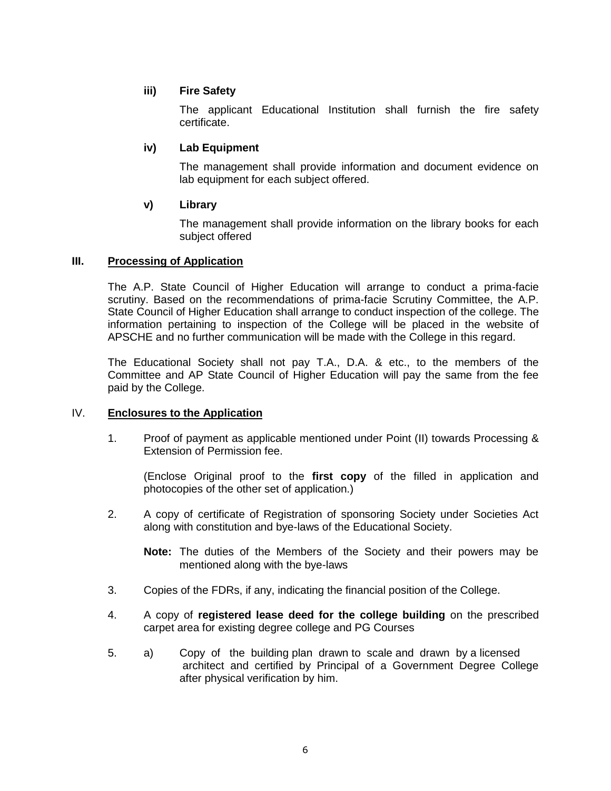## **iii) Fire Safety**

The applicant Educational Institution shall furnish the fire safety certificate.

## **iv) Lab Equipment**

The management shall provide information and document evidence on lab equipment for each subject offered.

#### **v) Library**

The management shall provide information on the library books for each subject offered

#### **III. Processing of Application**

The A.P. State Council of Higher Education will arrange to conduct a prima-facie scrutiny. Based on the recommendations of prima-facie Scrutiny Committee, the A.P. State Council of Higher Education shall arrange to conduct inspection of the college. The information pertaining to inspection of the College will be placed in the website of APSCHE and no further communication will be made with the College in this regard.

The Educational Society shall not pay T.A., D.A. & etc., to the members of the Committee and AP State Council of Higher Education will pay the same from the fee paid by the College.

#### IV. **Enclosures to the Application**

1. Proof of payment as applicable mentioned under Point (II) towards Processing & Extension of Permission fee.

(Enclose Original proof to the **first copy** of the filled in application and photocopies of the other set of application.)

2. A copy of certificate of Registration of sponsoring Society under Societies Act along with constitution and bye-laws of the Educational Society.

**Note:** The duties of the Members of the Society and their powers may be mentioned along with the bye-laws

- 3. Copies of the FDRs, if any, indicating the financial position of the College.
- 4. A copy of **registered lease deed for the college building** on the prescribed carpet area for existing degree college and PG Courses
- 5. a) Copy of the building plan drawn to scale and drawn by a licensed architect and certified by Principal of a Government Degree College after physical verification by him.